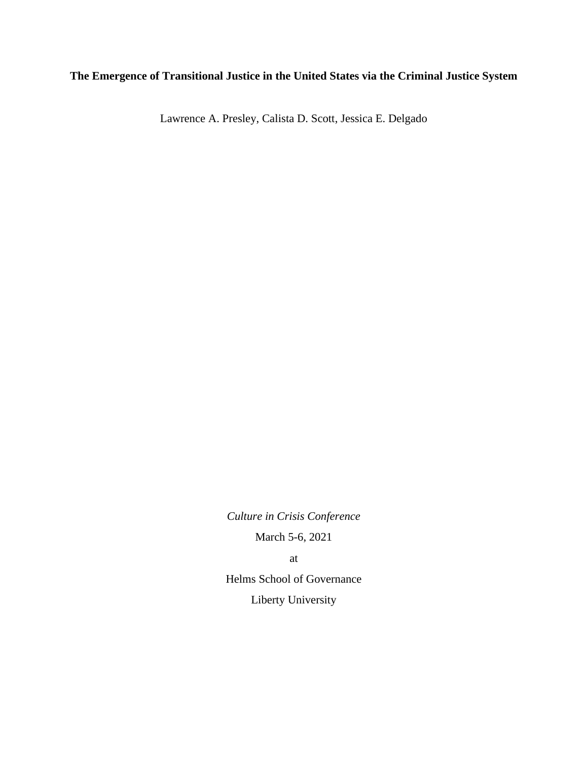# **The Emergence of Transitional Justice in the United States via the Criminal Justice System**

Lawrence A. Presley, Calista D. Scott, Jessica E. Delgado

*Culture in Crisis Conference*

March 5-6, 2021

at

Helms School of Governance Liberty University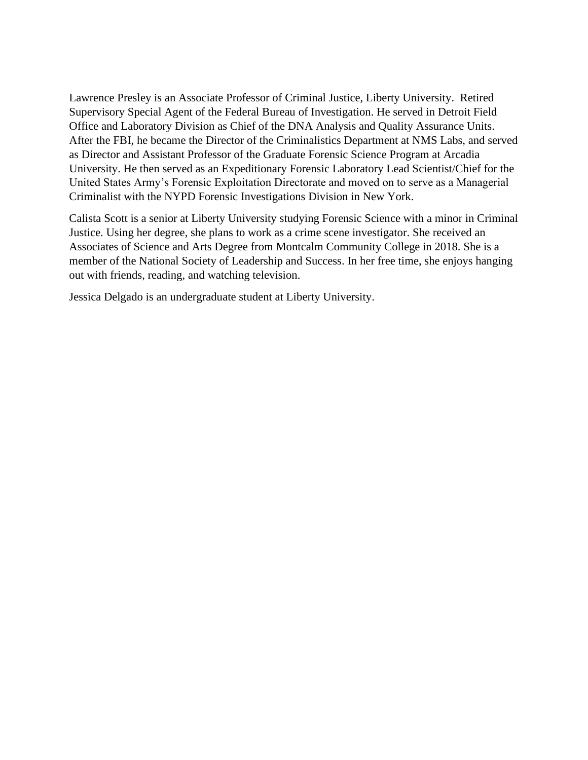Lawrence Presley is an Associate Professor of Criminal Justice, Liberty University. Retired Supervisory Special Agent of the Federal Bureau of Investigation. He served in Detroit Field Office and Laboratory Division as Chief of the DNA Analysis and Quality Assurance Units. After the FBI, he became the Director of the Criminalistics Department at NMS Labs, and served as Director and Assistant Professor of the Graduate Forensic Science Program at Arcadia University. He then served as an Expeditionary Forensic Laboratory Lead Scientist/Chief for the United States Army's Forensic Exploitation Directorate and moved on to serve as a Managerial Criminalist with the NYPD Forensic Investigations Division in New York.

Calista Scott is a senior at Liberty University studying Forensic Science with a minor in Criminal Justice. Using her degree, she plans to work as a crime scene investigator. She received an Associates of Science and Arts Degree from Montcalm Community College in 2018. She is a member of the National Society of Leadership and Success. In her free time, she enjoys hanging out with friends, reading, and watching television.

Jessica Delgado is an undergraduate student at Liberty University.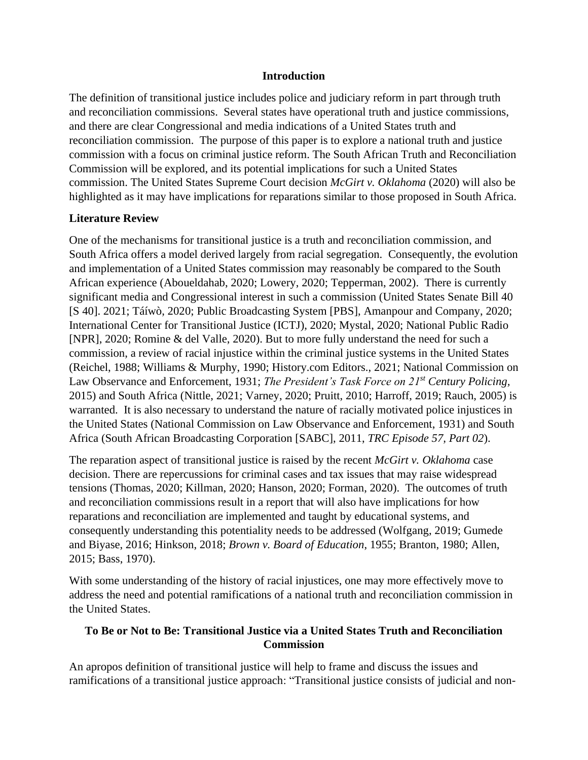#### **Introduction**

The definition of transitional justice includes police and judiciary reform in part through truth and reconciliation commissions. Several states have operational truth and justice commissions, and there are clear Congressional and media indications of a United States truth and reconciliation commission. The purpose of this paper is to explore a national truth and justice commission with a focus on criminal justice reform. The South African Truth and Reconciliation Commission will be explored, and its potential implications for such a United States commission. The United States Supreme Court decision *McGirt v. Oklahoma* (2020) will also be highlighted as it may have implications for reparations similar to those proposed in South Africa.

# **Literature Review**

One of the mechanisms for transitional justice is a truth and reconciliation commission, and South Africa offers a model derived largely from racial segregation. Consequently, the evolution and implementation of a United States commission may reasonably be compared to the South African experience (Aboueldahab, 2020; Lowery, 2020; Tepperman, 2002). There is currently significant media and Congressional interest in such a commission (United States Senate Bill 40 [S 40]. 2021; Táíwò, 2020; Public Broadcasting System [PBS], Amanpour and Company, 2020; International Center for Transitional Justice (ICTJ), 2020; Mystal, 2020; National Public Radio [NPR], 2020; Romine & del Valle, 2020). But to more fully understand the need for such a commission, a review of racial injustice within the criminal justice systems in the United States (Reichel, 1988; Williams & Murphy, 1990; History.com Editors., 2021; National Commission on Law Observance and Enforcement, 1931; *The President's Task Force on 21st Century Policing,*  2015) and South Africa (Nittle, 2021; Varney, 2020; Pruitt, 2010; Harroff, 2019; Rauch, 2005) is warranted. It is also necessary to understand the nature of racially motivated police injustices in the United States (National Commission on Law Observance and Enforcement, 1931) and South Africa (South African Broadcasting Corporation [SABC], 2011, *TRC Episode 57, Part 02*).

The reparation aspect of transitional justice is raised by the recent *McGirt v. Oklahoma* case decision. There are repercussions for criminal cases and tax issues that may raise widespread tensions (Thomas, 2020; Killman, 2020; Hanson, 2020; Forman, 2020). The outcomes of truth and reconciliation commissions result in a report that will also have implications for how reparations and reconciliation are implemented and taught by educational systems, and consequently understanding this potentiality needs to be addressed (Wolfgang, 2019; Gumede and Biyase, 2016; Hinkson, 2018; *Brown v. Board of Education*, 1955; Branton, 1980; Allen, 2015; Bass, 1970).

With some understanding of the history of racial injustices, one may more effectively move to address the need and potential ramifications of a national truth and reconciliation commission in the United States.

# **To Be or Not to Be: Transitional Justice via a United States Truth and Reconciliation Commission**

An apropos definition of transitional justice will help to frame and discuss the issues and ramifications of a transitional justice approach: "Transitional justice consists of judicial and non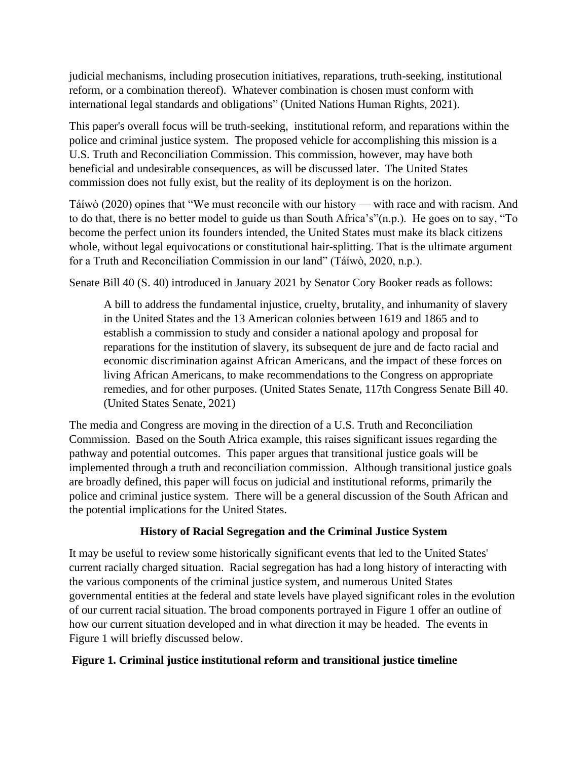judicial mechanisms, including prosecution initiatives, reparations, truth-seeking, institutional reform, or a combination thereof). Whatever combination is chosen must conform with international legal standards and obligations" (United Nations Human Rights, 2021).

This paper's overall focus will be truth-seeking, institutional reform, and reparations within the police and criminal justice system. The proposed vehicle for accomplishing this mission is a U.S. Truth and Reconciliation Commission. This commission, however, may have both beneficial and undesirable consequences, as will be discussed later. The United States commission does not fully exist, but the reality of its deployment is on the horizon.

Táíwò (2020) opines that "We must reconcile with our history — with race and with racism. And to do that, there is no better model to guide us than South Africa's"(n.p.). He goes on to say, "To become the perfect union its founders intended, the United States must make its black citizens whole, without legal equivocations or constitutional hair-splitting. That is the ultimate argument for a Truth and Reconciliation Commission in our land" (Táíwò, 2020, n.p.).

Senate Bill 40 (S. 40) introduced in January 2021 by Senator Cory Booker reads as follows:

A bill to address the fundamental injustice, cruelty, brutality, and inhumanity of slavery in the United States and the 13 American colonies between 1619 and 1865 and to establish a commission to study and consider a national apology and proposal for reparations for the institution of slavery, its subsequent de jure and de facto racial and economic discrimination against African Americans, and the impact of these forces on living African Americans, to make recommendations to the Congress on appropriate remedies, and for other purposes. (United States Senate, 117th Congress Senate Bill 40. (United States Senate, 2021)

The media and Congress are moving in the direction of a U.S. Truth and Reconciliation Commission. Based on the South Africa example, this raises significant issues regarding the pathway and potential outcomes. This paper argues that transitional justice goals will be implemented through a truth and reconciliation commission. Although transitional justice goals are broadly defined, this paper will focus on judicial and institutional reforms, primarily the police and criminal justice system. There will be a general discussion of the South African and the potential implications for the United States.

# **History of Racial Segregation and the Criminal Justice System**

It may be useful to review some historically significant events that led to the United States' current racially charged situation. Racial segregation has had a long history of interacting with the various components of the criminal justice system, and numerous United States governmental entities at the federal and state levels have played significant roles in the evolution of our current racial situation. The broad components portrayed in Figure 1 offer an outline of how our current situation developed and in what direction it may be headed. The events in Figure 1 will briefly discussed below.

# **Figure 1. Criminal justice institutional reform and transitional justice timeline**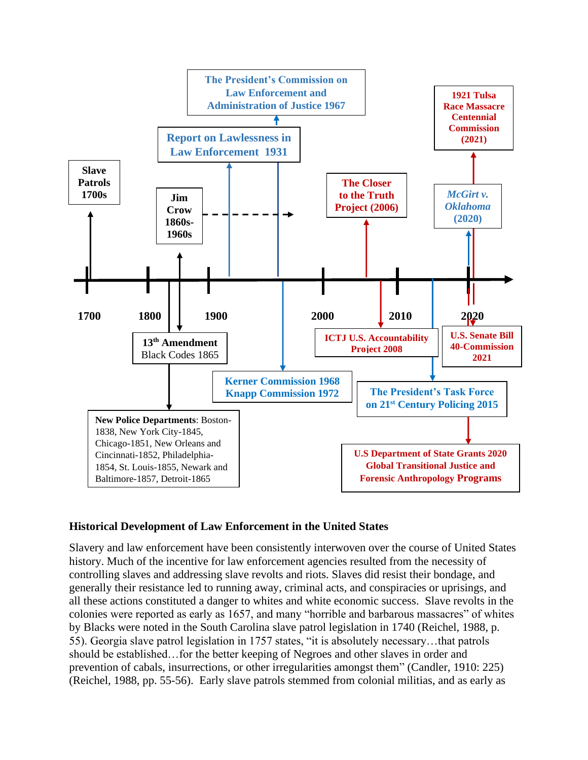

# **Historical Development of Law Enforcement in the United States**

Slavery and law enforcement have been consistently interwoven over the course of United States history. Much of the incentive for law enforcement agencies resulted from the necessity of controlling slaves and addressing slave revolts and riots. Slaves did resist their bondage, and generally their resistance led to running away, criminal acts, and conspiracies or uprisings, and all these actions constituted a danger to whites and white economic success. Slave revolts in the colonies were reported as early as 1657, and many "horrible and barbarous massacres" of whites by Blacks were noted in the South Carolina slave patrol legislation in 1740 (Reichel, 1988, p. 55). Georgia slave patrol legislation in 1757 states, "it is absolutely necessary…that patrols should be established…for the better keeping of Negroes and other slaves in order and prevention of cabals, insurrections, or other irregularities amongst them" (Candler, 1910: 225) (Reichel, 1988, pp. 55-56). Early slave patrols stemmed from colonial militias, and as early as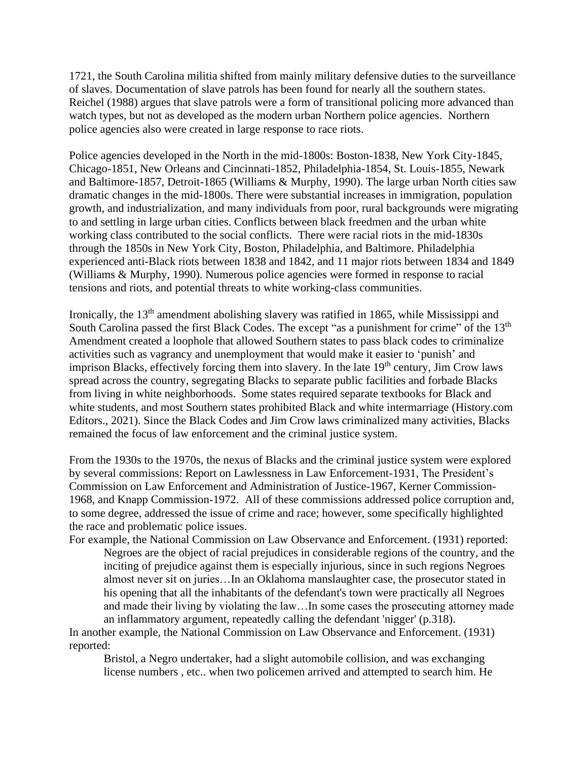1721, the South Carolina militia shifted from mainly military defensive duties to the surveillance of slaves. Documentation of slave patrols has been found for nearly all the southern states. Reichel (1988) argues that slave patrols were a form of transitional policing more advanced than watch types, but not as developed as the modern urban Northern police agencies. Northern police agencies also were created in large response to race riots.

Police agencies developed in the North in the mid-1800s: Boston-1838, New York City-1845, Chicago-1851, New Orleans and Cincinnati-1852, Philadelphia-1854, St. Louis-1855, Newark and Baltimore-1857, Detroit-1865 (Williams & Murphy, 1990). The large urban North cities saw dramatic changes in the mid-1800s. There were substantial increases in immigration, population growth, and industrialization, and many individuals from poor, rural backgrounds were migrating to and settling in large urban cities. Conflicts between black freedmen and the urban white working class contributed to the social conflicts. There were racial riots in the mid-1830s through the 1850s in New York City, Boston, Philadelphia, and Baltimore. Philadelphia experienced anti-Black riots between 1838 and 1842, and 11 major riots between 1834 and 1849 (Williams & Murphy, 1990). Numerous police agencies were formed in response to racial tensions and riots, and potential threats to white working-class communities.

Ironically, the 13th amendment abolishing slavery was ratified in 1865, while Mississippi and South Carolina passed the first Black Codes. The [except "as a punishment for crime"](https://www.history.com/news/13th-amendment-slavery-loophole-jim-crow-prisons) of the 13<sup>th</sup> Amendment created a loophole that allowed Southern states to pass black codes to criminalize activities such as vagrancy and unemployment that would make it easier to 'punish' and imprison Blacks, effectively forcing them into slavery. In the late 19<sup>th</sup> century, Jim Crow laws spread across the country, segregating Blacks to separate public facilities and forbade Blacks from living in white neighborhoods. Some states required separate textbooks for Black and white students, and most Southern states prohibited Black and white intermarriage (History.com Editors., 2021). Since the Black Codes and Jim Crow laws criminalized many activities, Blacks remained the focus of law enforcement and the criminal justice system.

From the 1930s to the 1970s, the nexus of Blacks and the criminal justice system were explored by several commissions: Report on Lawlessness in Law Enforcement-1931, The President's Commission on Law Enforcement and Administration of Justice-1967, Kerner Commission-1968, and Knapp Commission-1972. All of these commissions addressed police corruption and, to some degree, addressed the issue of crime and race; however, some specifically highlighted the race and problematic police issues.

For example, the National Commission on Law Observance and Enforcement. (1931) reported: Negroes are the object of racial prejudices in considerable regions of the country, and the inciting of prejudice against them is especially injurious, since in such regions Negroes almost never sit on juries…In an Oklahoma manslaughter case, the prosecutor stated in his opening that all the inhabitants of the defendant's town were practically all Negroes and made their living by violating the law…In some cases the prosecuting attorney made an inflammatory argument, repeatedly calling the defendant 'nigger' (p.318).

In another example, the National Commission on Law Observance and Enforcement. (1931) reported:

Bristol, a Negro undertaker, had a slight automobile collision, and was exchanging license numbers , etc.. when two policemen arrived and attempted to search him. He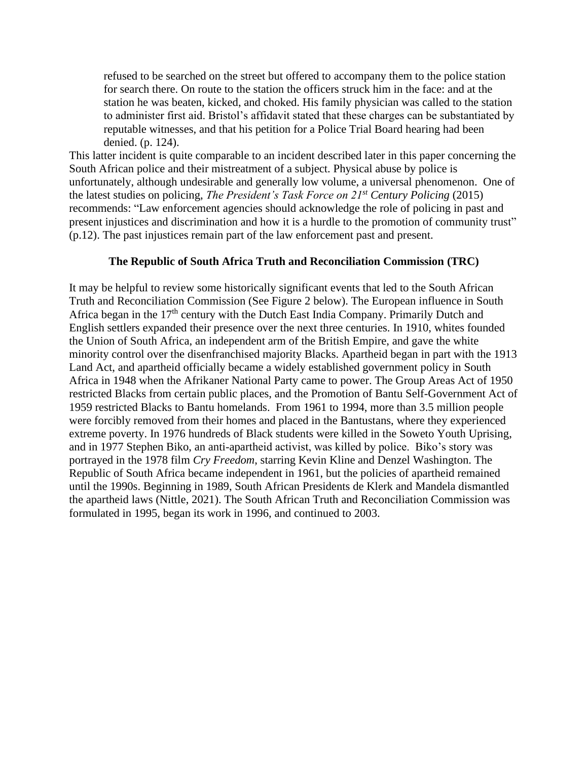refused to be searched on the street but offered to accompany them to the police station for search there. On route to the station the officers struck him in the face: and at the station he was beaten, kicked, and choked. His family physician was called to the station to administer first aid. Bristol's affidavit stated that these charges can be substantiated by reputable witnesses, and that his petition for a Police Trial Board hearing had been denied. (p. 124).

This latter incident is quite comparable to an incident described later in this paper concerning the South African police and their mistreatment of a subject. Physical abuse by police is unfortunately, although undesirable and generally low volume, a universal phenomenon. One of the latest studies on policing, *The President's Task Force on 21st Century Policing* (2015) recommends: "Law enforcement agencies should acknowledge the role of policing in past and present injustices and discrimination and how it is a hurdle to the promotion of community trust" (p.12). The past injustices remain part of the law enforcement past and present.

### **The Republic of South Africa Truth and Reconciliation Commission (TRC)**

It may be helpful to review some historically significant events that led to the South African Truth and Reconciliation Commission (See Figure 2 below). The European influence in South Africa began in the 17<sup>th</sup> century with the Dutch East India Company. Primarily Dutch and English settlers expanded their presence over the next three centuries. In 1910, whites founded the Union of South Africa, an independent arm of the British Empire, and gave the white minority control over the disenfranchised majority Blacks. Apartheid began in part with the 1913 Land Act, and apartheid officially became a widely established government policy in South Africa in 1948 when the Afrikaner National Party came to power. The Group Areas Act of 1950 restricted Blacks from certain public places, and the Promotion of Bantu Self-Government Act of 1959 restricted Blacks to Bantu homelands. From 1961 to 1994, more than 3.5 million people were forcibly removed from their homes and placed in the Bantustans, where they experienced extreme poverty. In 1976 hundreds of Black students were killed in the [Soweto Youth Uprising,](https://www.thoughtco.com/soweto-uprising-1976-image-gallery-4123141) and in 1977 Stephen Biko, an anti-apartheid activist, was killed by police. Biko's story was portrayed in the 1978 film *Cry Freedom*, starring Kevin Kline and Denzel Washington. The Republic of South Africa became independent in 1961, but the policies of apartheid remained until the 1990s. Beginning in 1989, South African Presidents de Klerk and Mandela dismantled the apartheid laws (Nittle, 2021). The South African Truth and Reconciliation Commission was formulated in 1995, began its work in 1996, and continued to 2003.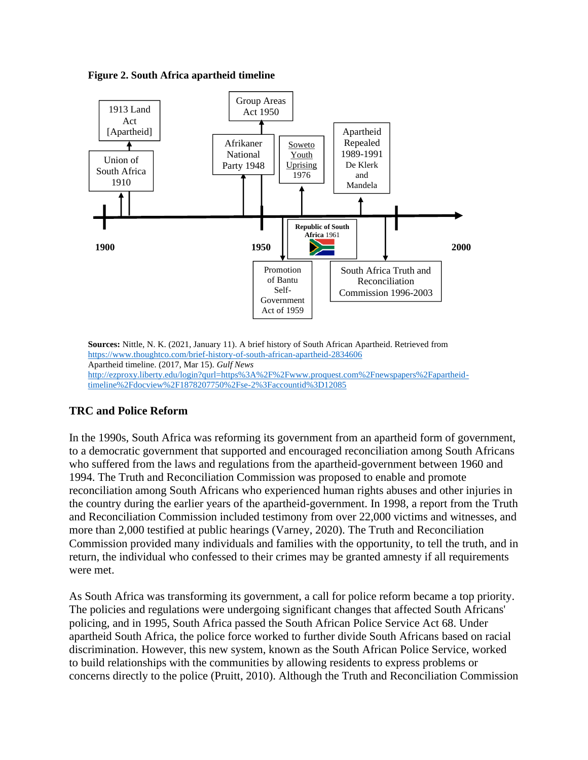**Figure 2. South Africa apartheid timeline**



**Sources:** Nittle, N. K. (2021, January 11). A brief history of South African Apartheid. Retrieved from https://www.thoughtco.com/brief-history-of-south-african-apartheid-2834606 Apartheid timeline. (2017, Mar 15). *Gulf News* http://ezproxy.liberty.edu/login?qurl=https%3A%2F%2Fwww.proquest.com%2Fnewspapers%2Fapartheidtimeline%2Fdocview%2F1878207750%2Fse-2%3Faccountid%3D12085

# **TRC and Police Reform**

In the 1990s, South Africa was reforming its government from an apartheid form of government, to a democratic government that supported and encouraged reconciliation among South Africans who suffered from the laws and regulations from the apartheid-government between 1960 and 1994. The Truth and Reconciliation Commission was proposed to enable and promote reconciliation among South Africans who experienced human rights abuses and other injuries in the country during the earlier years of the apartheid-government. In 1998, a report from the Truth and Reconciliation Commission included testimony from over 22,000 victims and witnesses, and more than 2,000 testified at public hearings (Varney, 2020). The Truth and Reconciliation Commission provided many individuals and families with the opportunity, to tell the truth, and in return, the individual who confessed to their crimes may be granted amnesty if all requirements were met.

As South Africa was transforming its government, a call for police reform became a top priority. The policies and regulations were undergoing significant changes that affected South Africans' policing, and in 1995, South Africa passed the South African Police Service Act 68. Under apartheid South Africa, the police force worked to further divide South Africans based on racial discrimination. However, this new system, known as the South African Police Service, worked to build relationships with the communities by allowing residents to express problems or concerns directly to the police (Pruitt, 2010). Although the Truth and Reconciliation Commission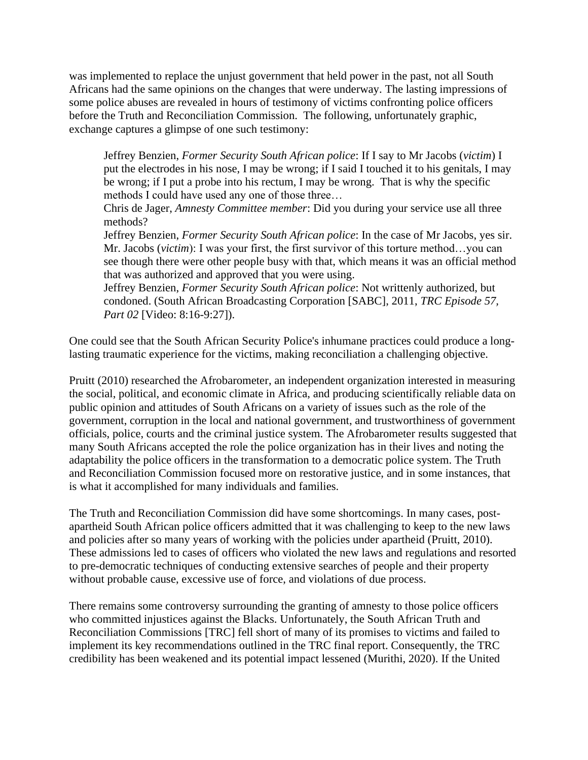was implemented to replace the unjust government that held power in the past, not all South Africans had the same opinions on the changes that were underway. The lasting impressions of some police abuses are revealed in hours of testimony of victims confronting police officers before the Truth and Reconciliation Commission. The following, unfortunately graphic, exchange captures a glimpse of one such testimony:

Jeffrey Benzien, *Former Security South African police*: If I say to Mr Jacobs (*victim*) I put the electrodes in his nose, I may be wrong; if I said I touched it to his genitals, I may be wrong; if I put a probe into his rectum, I may be wrong. That is why the specific methods I could have used any one of those three…

Chris de Jager, *Amnesty Committee member*: Did you during your service use all three methods?

Jeffrey Benzien, *Former Security South African police*: In the case of Mr Jacobs, yes sir. Mr. Jacobs (*victim*): I was your first, the first survivor of this torture method…you can see though there were other people busy with that, which means it was an official method that was authorized and approved that you were using.

Jeffrey Benzien, *Former Security South African police*: Not writtenly authorized, but condoned. (South African Broadcasting Corporation [SABC], 2011, *TRC Episode 57, Part 02* [Video: 8:16-9:27]).

One could see that the South African Security Police's inhumane practices could produce a longlasting traumatic experience for the victims, making reconciliation a challenging objective.

Pruitt (2010) researched the Afrobarometer, an independent organization interested in measuring the social, political, and economic climate in Africa, and producing scientifically reliable data on public opinion and attitudes of South Africans on a variety of issues such as the role of the government, corruption in the local and national government, and trustworthiness of government officials, police, courts and the criminal justice system. The Afrobarometer results suggested that many South Africans accepted the role the police organization has in their lives and noting the adaptability the police officers in the transformation to a democratic police system. The Truth and Reconciliation Commission focused more on restorative justice, and in some instances, that is what it accomplished for many individuals and families.

The Truth and Reconciliation Commission did have some shortcomings. In many cases, postapartheid South African police officers admitted that it was challenging to keep to the new laws and policies after so many years of working with the policies under apartheid (Pruitt, 2010). These admissions led to cases of officers who violated the new laws and regulations and resorted to pre-democratic techniques of conducting extensive searches of people and their property without probable cause, excessive use of force, and violations of due process.

There remains some controversy surrounding the granting of amnesty to those police officers who committed injustices against the Blacks. Unfortunately, the South African Truth and Reconciliation Commissions [TRC] fell short of many of its promises to victims and failed to implement its key recommendations outlined in the TRC final report. Consequently, the TRC credibility has been weakened and its potential impact lessened (Murithi, 2020). If the United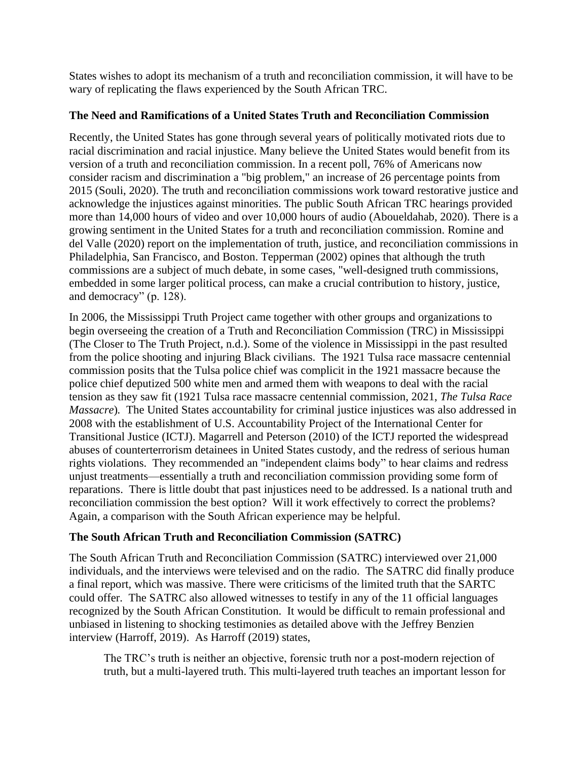States wishes to adopt its mechanism of a truth and reconciliation commission, it will have to be wary of replicating the flaws experienced by the South African TRC.

### **The Need and Ramifications of a United States Truth and Reconciliation Commission**

Recently, the United States has gone through several years of politically motivated riots due to racial discrimination and racial injustice. Many believe the United States would benefit from its version of a truth and reconciliation commission. In a recent poll, 76% of Americans now consider racism and discrimination a "big problem," an increase of 26 percentage points from 2015 (Souli, 2020). The truth and reconciliation commissions work toward restorative justice and acknowledge the injustices against minorities. The public South African TRC hearings provided more than 14,000 hours of video and over 10,000 hours of audio (Aboueldahab, 2020). There is a growing sentiment in the United States for a truth and reconciliation commission. Romine and del Valle (2020) report on the implementation of truth, justice, and reconciliation commissions in Philadelphia, San Francisco, and Boston. Tepperman (2002) opines that although the truth commissions are a subject of much debate, in some cases, "well-designed truth commissions, embedded in some larger political process, can make a crucial contribution to history, justice, and democracy" (p. 128).

In 2006, the Mississippi Truth Project came together with other groups and organizations to begin overseeing the creation of a Truth and Reconciliation Commission (TRC) in Mississippi (The Closer to The Truth Project, n.d.). Some of the violence in Mississippi in the past resulted from the police shooting and injuring Black civilians. The 1921 Tulsa race massacre centennial commission posits that the Tulsa police chief was complicit in the 1921 massacre because the police chief deputized 500 white men and armed them with weapons to deal with the racial tension as they saw fit (1921 Tulsa race massacre centennial commission, 2021, *The Tulsa Race Massacre*)*.* The United States accountability for criminal justice injustices was also addressed in 2008 with the establishment of U.S. Accountability Project of the International Center for Transitional Justice (ICTJ). Magarrell and Peterson (2010) of the ICTJ reported the widespread abuses of counterterrorism detainees in United States custody, and the redress of serious human rights violations. They recommended an "independent claims body" to hear claims and redress unjust treatments—essentially a truth and reconciliation commission providing some form of reparations. There is little doubt that past injustices need to be addressed. Is a national truth and reconciliation commission the best option? Will it work effectively to correct the problems? Again, a comparison with the South African experience may be helpful.

# **The South African Truth and Reconciliation Commission (SATRC)**

The South African Truth and Reconciliation Commission (SATRC) interviewed over 21,000 individuals, and the interviews were televised and on the radio. The SATRC did finally produce a final report, which was massive. There were criticisms of the limited truth that the SARTC could offer. The SATRC also allowed witnesses to testify in any of the 11 official languages recognized by the South African Constitution. It would be difficult to remain professional and unbiased in listening to shocking testimonies as detailed above with the Jeffrey Benzien interview (Harroff, 2019). As Harroff (2019) states,

The TRC's truth is neither an objective, forensic truth nor a post-modern rejection of truth, but a multi-layered truth. This multi-layered truth teaches an important lesson for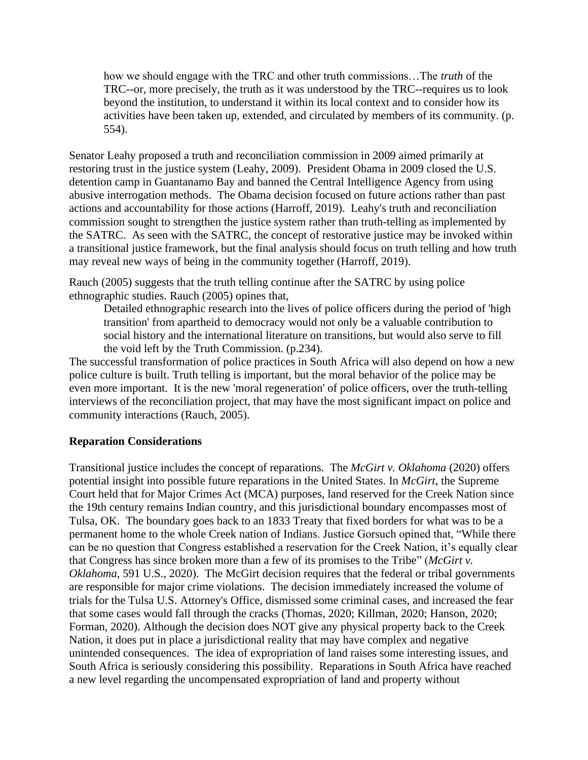how we should engage with the TRC and other truth commissions…The *truth* of the TRC--or, more precisely, the truth as it was understood by the TRC--requires us to look beyond the institution, to understand it within its local context and to consider how its activities have been taken up, extended, and circulated by members of its community. (p. 554).

Senator Leahy proposed a truth and reconciliation commission in 2009 aimed primarily at restoring trust in the justice system (Leahy, 2009). President Obama in 2009 closed the U.S. detention camp in Guantanamo Bay and banned the Central Intelligence Agency from using abusive interrogation methods. The Obama decision focused on future actions rather than past actions and accountability for those actions (Harroff, 2019). Leahy's truth and reconciliation commission sought to strengthen the justice system rather than truth-telling as implemented by the SATRC. As seen with the SATRC, the concept of restorative justice may be invoked within a transitional justice framework, but the final analysis should focus on truth telling and how truth may reveal new ways of being in the community together (Harroff, 2019).

Rauch (2005) suggests that the truth telling continue after the SATRC by using police ethnographic studies. Rauch (2005) opines that,

Detailed ethnographic research into the lives of police officers during the period of 'high transition' from apartheid to democracy would not only be a valuable contribution to social history and the international literature on transitions, but would also serve to fill the void left by the Truth Commission. (p.234).

The successful transformation of police practices in South Africa will also depend on how a new police culture is built. Truth telling is important, but the moral behavior of the police may be even more important. It is the new 'moral regeneration' of police officers, over the truth-telling interviews of the reconciliation project, that may have the most significant impact on police and community interactions (Rauch, 2005).

#### **Reparation Considerations**

Transitional justice includes the concept of reparations. The *McGirt v. Oklahoma* (2020) offers potential insight into possible future reparations in the United States. In *McGirt*, the Supreme Court held that for Major Crimes Act (MCA) purposes, land reserved for the Creek Nation since the 19th century remains Indian country, and this jurisdictional boundary encompasses most of Tulsa, OK. The boundary goes back to an 1833 Treaty that fixed borders for what was to be a permanent home to the whole Creek nation of Indians. Justice Gorsuch opined that, "While there can be no question that Congress established a reservation for the Creek Nation, it's equally clear that Congress has since broken more than a few of its promises to the Tribe" (*McGirt v. Oklahoma,* 591 U.S., 2020). The McGirt decision requires that the federal or tribal governments are responsible for major crime violations. The decision immediately increased the volume of trials for the Tulsa U.S. Attorney's Office, dismissed some criminal cases, and increased the fear that some cases would fall through the cracks (Thomas, 2020; Killman, 2020; Hanson, 2020; Forman, 2020). Although the decision does NOT give any physical property back to the Creek Nation, it does put in place a jurisdictional reality that may have complex and negative unintended consequences. The idea of expropriation of land raises some interesting issues, and South Africa is seriously considering this possibility. Reparations in South Africa have reached a new level regarding the uncompensated expropriation of land and property without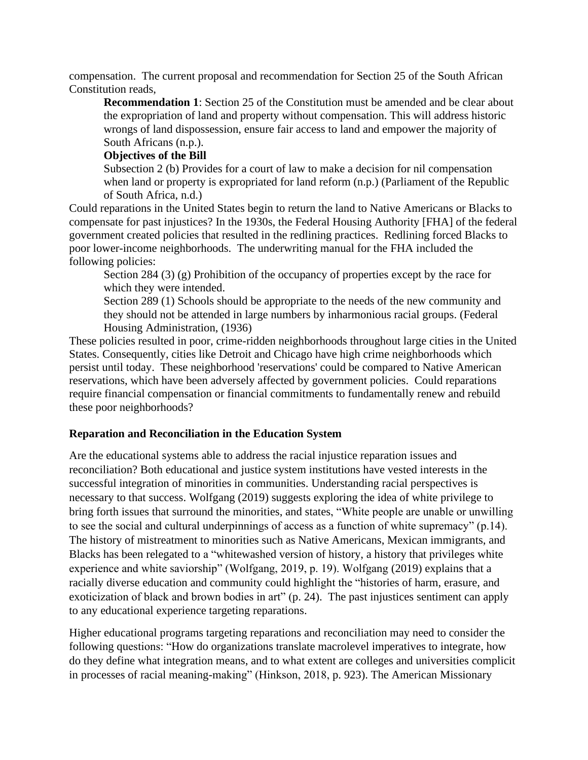compensation. The current proposal and recommendation for Section 25 of the South African Constitution reads,

**Recommendation 1**: Section 25 of the Constitution must be amended and be clear about the expropriation of land and property without compensation. This will address historic wrongs of land dispossession, ensure fair access to land and empower the majority of South Africans (n.p.).

### **Objectives of the Bill**

Subsection 2 (b) Provides for a court of law to make a decision for nil compensation when land or property is expropriated for land reform  $(n,p)$  (Parliament of the Republic of South Africa, n.d.)

Could reparations in the United States begin to return the land to Native Americans or Blacks to compensate for past injustices? In the 1930s, the Federal Housing Authority [FHA] of the federal government created policies that resulted in the redlining practices. Redlining forced Blacks to poor lower-income neighborhoods. The underwriting manual for the FHA included the following policies:

Section 284 (3) (g) Prohibition of the occupancy of properties except by the race for which they were intended.

Section 289 (1) Schools should be appropriate to the needs of the new community and they should not be attended in large numbers by inharmonious racial groups. (Federal Housing Administration, (1936)

These policies resulted in poor, crime-ridden neighborhoods throughout large cities in the United States. Consequently, cities like Detroit and Chicago have high crime neighborhoods which persist until today. These neighborhood 'reservations' could be compared to Native American reservations, which have been adversely affected by government policies. Could reparations require financial compensation or financial commitments to fundamentally renew and rebuild these poor neighborhoods?

# **Reparation and Reconciliation in the Education System**

Are the educational systems able to address the racial injustice reparation issues and reconciliation? Both educational and justice system institutions have vested interests in the successful integration of minorities in communities. Understanding racial perspectives is necessary to that success. Wolfgang (2019) suggests exploring the idea of white privilege to bring forth issues that surround the minorities, and states, "White people are unable or unwilling to see the social and cultural underpinnings of access as a function of white supremacy" (p.14). The history of mistreatment to minorities such as Native Americans, Mexican immigrants, and Blacks has been relegated to a "whitewashed version of history, a history that privileges white experience and white saviorship" (Wolfgang, 2019, p. 19). Wolfgang (2019) explains that a racially diverse education and community could highlight the "histories of harm, erasure, and exoticization of black and brown bodies in art" (p. 24). The past injustices sentiment can apply to any educational experience targeting reparations.

Higher educational programs targeting reparations and reconciliation may need to consider the following questions: "How do organizations translate macrolevel imperatives to integrate, how do they define what integration means, and to what extent are colleges and universities complicit in processes of racial meaning-making" (Hinkson, 2018, p. 923). The American Missionary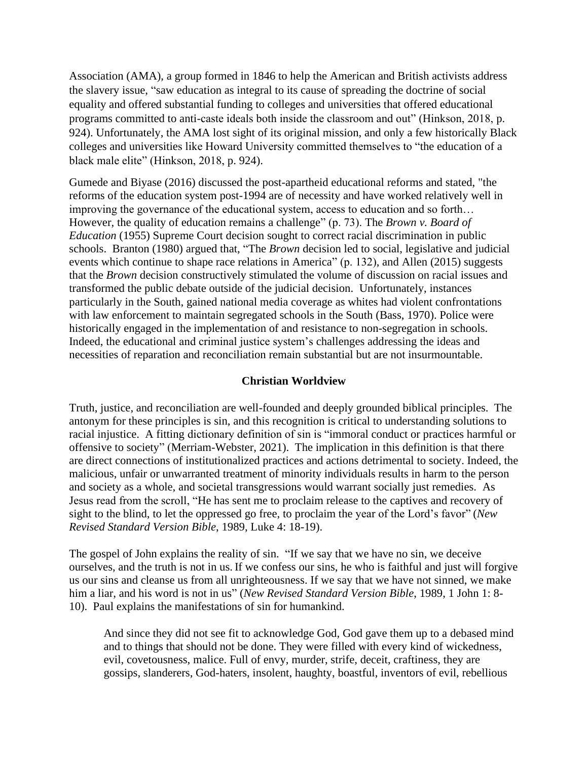Association (AMA), a group formed in 1846 to help the American and British activists address the slavery issue, "saw education as integral to its cause of spreading the doctrine of social equality and offered substantial funding to colleges and universities that offered educational programs committed to anti-caste ideals both inside the classroom and out" (Hinkson, 2018, p. 924). Unfortunately, the AMA lost sight of its original mission, and only a few historically Black colleges and universities like Howard University committed themselves to "the education of a black male elite" (Hinkson, 2018, p. 924).

Gumede and Biyase (2016) discussed the post-apartheid educational reforms and stated, "the reforms of the education system post-1994 are of necessity and have worked relatively well in improving the governance of the educational system, access to education and so forth… However, the quality of education remains a challenge" (p. 73). The *Brown v. Board of Education* (1955) Supreme Court decision sought to correct racial discrimination in public schools. Branton (1980) argued that, "The *Brown* decision led to social, legislative and judicial events which continue to shape race relations in America" (p. 132), and Allen (2015) suggests that the *Brown* decision constructively stimulated the volume of discussion on racial issues and transformed the public debate outside of the judicial decision. Unfortunately, instances particularly in the South, gained national media coverage as whites had violent confrontations with law enforcement to maintain segregated schools in the South (Bass, 1970). Police were historically engaged in the implementation of and resistance to non-segregation in schools. Indeed, the educational and criminal justice system's challenges addressing the ideas and necessities of reparation and reconciliation remain substantial but are not insurmountable.

### **Christian Worldview**

Truth, justice, and reconciliation are well-founded and deeply grounded biblical principles. The antonym for these principles is sin, and this recognition is critical to understanding solutions to racial injustice. A fitting dictionary definition of sin is "immoral conduct or practices harmful or offensive to society" (Merriam-Webster, 2021). The implication in this definition is that there are direct connections of institutionalized practices and actions detrimental to society. Indeed, the malicious, unfair or unwarranted treatment of minority individuals results in harm to the person and society as a whole, and societal transgressions would warrant socially just remedies. As Jesus read from the scroll, "He has sent me to proclaim release to the captives and recovery of sight to the blind, to let the oppressed go free, to proclaim the year of the Lord's favor" (*New Revised Standard Version Bible*, 1989, Luke 4: 18-19).

The gospel of John explains the reality of sin. "If we say that we have no sin, we deceive ourselves, and the truth is not in us. If we confess our sins, he who is faithful and just will forgive us our sins and cleanse us from all unrighteousness. If we say that we have not sinned, we make him a liar, and his word is not in us" (*New Revised Standard Version Bible*, 1989, 1 John 1: 8- 10). Paul explains the manifestations of sin for humankind.

And since they did not see fit to acknowledge God, God gave them up to a debased mind and to things that should not be done. They were filled with every kind of wickedness, evil, covetousness, malice. Full of envy, murder, strife, deceit, craftiness, they are gossips, slanderers, God-haters, insolent, haughty, boastful, inventors of evil, rebellious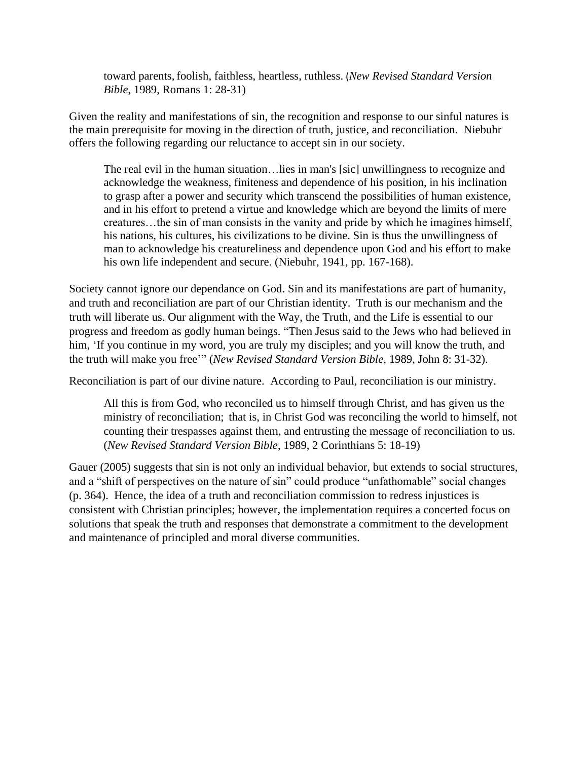toward parents, foolish, faithless, heartless, ruthless. (*New Revised Standard Version Bible*, 1989, Romans 1: 28-31)

Given the reality and manifestations of sin, the recognition and response to our sinful natures is the main prerequisite for moving in the direction of truth, justice, and reconciliation. Niebuhr offers the following regarding our reluctance to accept sin in our society.

The real evil in the human situation…lies in man's [sic] unwillingness to recognize and acknowledge the weakness, finiteness and dependence of his position, in his inclination to grasp after a power and security which transcend the possibilities of human existence, and in his effort to pretend a virtue and knowledge which are beyond the limits of mere creatures…the sin of man consists in the vanity and pride by which he imagines himself, his nations, his cultures, his civilizations to be divine. Sin is thus the unwillingness of man to acknowledge his creatureliness and dependence upon God and his effort to make his own life independent and secure. (Niebuhr, 1941, pp. 167-168).

Society cannot ignore our dependance on God. Sin and its manifestations are part of humanity, and truth and reconciliation are part of our Christian identity. Truth is our mechanism and the truth will liberate us. Our alignment with the Way, the Truth, and the Life is essential to our progress and freedom as godly human beings. "Then Jesus said to the Jews who had believed in him, 'If you continue in my word, you are truly my disciples; and you will know the truth, and the truth will make you free'" (*New Revised Standard Version Bible*, 1989, John 8: 31-32).

Reconciliation is part of our divine nature. According to Paul, reconciliation is our ministry.

All this is from God, who reconciled us to himself through Christ, and has given us the ministry of reconciliation; that is, in Christ God was reconciling the world to himself, not counting their trespasses against them, and entrusting the message of reconciliation to us. (*New Revised Standard Version Bible*, 1989, 2 Corinthians 5: 18-19)

Gauer (2005) suggests that sin is not only an individual behavior, but extends to social structures, and a "shift of perspectives on the nature of sin" could produce "unfathomable" social changes (p. 364). Hence, the idea of a truth and reconciliation commission to redress injustices is consistent with Christian principles; however, the implementation requires a concerted focus on solutions that speak the truth and responses that demonstrate a commitment to the development and maintenance of principled and moral diverse communities.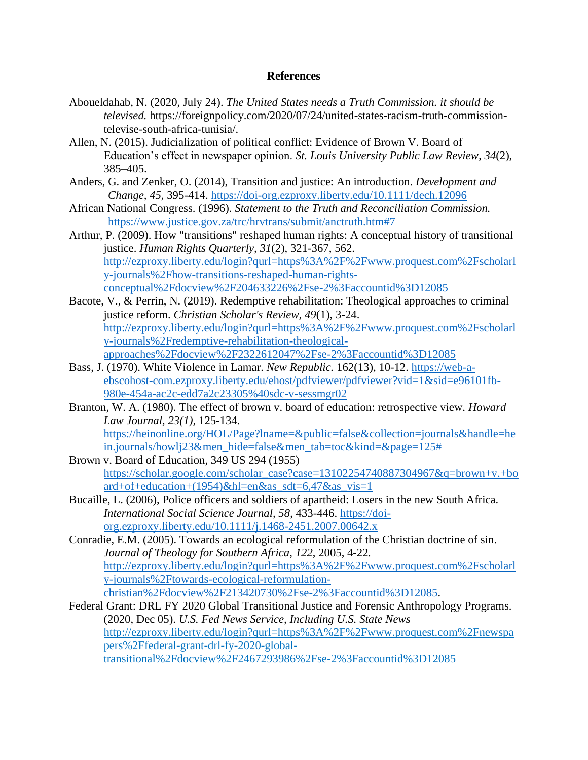#### **References**

- Aboueldahab, N. (2020, July 24). *The United States needs a Truth Commission. it should be televised.* https://foreignpolicy.com/2020/07/24/united-states-racism-truth-commissiontelevise-south-africa-tunisia/.
- Allen, N. (2015). Judicialization of political conflict: Evidence of Brown V. Board of Education's effect in newspaper opinion. *St. Louis University Public Law Review*, *34*(2), 385–405.
- Anders, G. and Zenker, O. (2014), Transition and justice: An introduction. *Development and Change, 45*, 395-414.<https://doi-org.ezproxy.liberty.edu/10.1111/dech.12096>
- African National Congress. (1996). *Statement to the Truth and Reconciliation Commission.* <https://www.justice.gov.za/trc/hrvtrans/submit/anctruth.htm#7>
- Arthur, P. (2009). How "transitions" reshaped human rights: A conceptual history of transitional justice. *Human Rights Quarterly, 31*(2), 321-367, 562. [http://ezproxy.liberty.edu/login?qurl=https%3A%2F%2Fwww.proquest.com%2Fscholarl](http://ezproxy.liberty.edu/login?qurl=https%3A%2F%2Fwww.proquest.com%2Fscholarly-journals%2Fhow-transitions-reshaped-human-rights-conceptual%2Fdocview%2F204633226%2Fse-2%3Faccountid%3D12085) [y-journals%2Fhow-transitions-reshaped-human-rights](http://ezproxy.liberty.edu/login?qurl=https%3A%2F%2Fwww.proquest.com%2Fscholarly-journals%2Fhow-transitions-reshaped-human-rights-conceptual%2Fdocview%2F204633226%2Fse-2%3Faccountid%3D12085)[conceptual%2Fdocview%2F204633226%2Fse-2%3Faccountid%3D12085](http://ezproxy.liberty.edu/login?qurl=https%3A%2F%2Fwww.proquest.com%2Fscholarly-journals%2Fhow-transitions-reshaped-human-rights-conceptual%2Fdocview%2F204633226%2Fse-2%3Faccountid%3D12085)
- Bacote, V., & Perrin, N. (2019). Redemptive rehabilitation: Theological approaches to criminal justice reform. *Christian Scholar's Review, 49*(1), 3-24. [http://ezproxy.liberty.edu/login?qurl=https%3A%2F%2Fwww.proquest.com%2Fscholarl](http://ezproxy.liberty.edu/login?qurl=https%3A%2F%2Fwww.proquest.com%2Fscholarly-journals%2Fredemptive-rehabilitation-theological-approaches%2Fdocview%2F2322612047%2Fse-2%3Faccountid%3D12085) [y-journals%2Fredemptive-rehabilitation-theological](http://ezproxy.liberty.edu/login?qurl=https%3A%2F%2Fwww.proquest.com%2Fscholarly-journals%2Fredemptive-rehabilitation-theological-approaches%2Fdocview%2F2322612047%2Fse-2%3Faccountid%3D12085)[approaches%2Fdocview%2F2322612047%2Fse-2%3Faccountid%3D12085](http://ezproxy.liberty.edu/login?qurl=https%3A%2F%2Fwww.proquest.com%2Fscholarly-journals%2Fredemptive-rehabilitation-theological-approaches%2Fdocview%2F2322612047%2Fse-2%3Faccountid%3D12085)
- Bass, J. (1970). White Violence in Lamar. *New Republic.* 162(13), 10-12. [https://web-a](https://web-a-ebscohost-com.ezproxy.liberty.edu/ehost/pdfviewer/pdfviewer?vid=1&sid=e96101fb-980e-454a-ac2c-edd7a2c23305%40sdc-v-sessmgr02)[ebscohost-com.ezproxy.liberty.edu/ehost/pdfviewer/pdfviewer?vid=1&sid=e96101fb-](https://web-a-ebscohost-com.ezproxy.liberty.edu/ehost/pdfviewer/pdfviewer?vid=1&sid=e96101fb-980e-454a-ac2c-edd7a2c23305%40sdc-v-sessmgr02)[980e-454a-ac2c-edd7a2c23305%40sdc-v-sessmgr02](https://web-a-ebscohost-com.ezproxy.liberty.edu/ehost/pdfviewer/pdfviewer?vid=1&sid=e96101fb-980e-454a-ac2c-edd7a2c23305%40sdc-v-sessmgr02)
- Branton, W. A. (1980). The effect of brown v. board of education: retrospective view. *Howard Law Journal, 23(1),* 125-134. [https://heinonline.org/HOL/Page?lname=&public=false&collection=journals&handle=he](https://heinonline.org/HOL/Page?lname=&public=false&collection=journals&handle=hein.journals/howlj23&men_hide=false&men_tab=toc&kind=&page=125) [in.journals/howlj23&men\\_hide=false&men\\_tab=toc&kind=&page=125#](https://heinonline.org/HOL/Page?lname=&public=false&collection=journals&handle=hein.journals/howlj23&men_hide=false&men_tab=toc&kind=&page=125)
- Brown v. Board of Education, 349 US 294 (1955) [https://scholar.google.com/scholar\\_case?case=13102254740887304967&q=brown+v.+bo](https://scholar.google.com/scholar_case?case=13102254740887304967&q=brown+v.+board+of+education+(1954)&hl=en&as_sdt=6,47&as_vis=1) [ard+of+education+\(1954\)&hl=en&as\\_sdt=6,47&as\\_vis=1](https://scholar.google.com/scholar_case?case=13102254740887304967&q=brown+v.+board+of+education+(1954)&hl=en&as_sdt=6,47&as_vis=1)
- Bucaille, L. (2006), Police officers and soldiers of apartheid: Losers in the new South Africa. *International Social Science Journal, 58*, 433-446. [https://doi](https://doi-org.ezproxy.liberty.edu/10.1111/j.1468-2451.2007.00642.x)[org.ezproxy.liberty.edu/10.1111/j.1468-2451.2007.00642.x](https://doi-org.ezproxy.liberty.edu/10.1111/j.1468-2451.2007.00642.x)
- Conradie, E.M. (2005). Towards an ecological reformulation of the Christian doctrine of sin. *Journal of Theology for Southern Africa*, *122*, 2005, 4-22*.* [http://ezproxy.liberty.edu/login?qurl=https%3A%2F%2Fwww.proquest.com%2Fscholarl](http://ezproxy.liberty.edu/login?qurl=https%3A%2F%2Fwww.proquest.com%2Fscholarly-journals%2Ftowards-ecological-reformulation-christian%2Fdocview%2F213420730%2Fse-2%3Faccountid%3D12085) [y-journals%2Ftowards-ecological-reformulation](http://ezproxy.liberty.edu/login?qurl=https%3A%2F%2Fwww.proquest.com%2Fscholarly-journals%2Ftowards-ecological-reformulation-christian%2Fdocview%2F213420730%2Fse-2%3Faccountid%3D12085)[christian%2Fdocview%2F213420730%2Fse-2%3Faccountid%3D12085.](http://ezproxy.liberty.edu/login?qurl=https%3A%2F%2Fwww.proquest.com%2Fscholarly-journals%2Ftowards-ecological-reformulation-christian%2Fdocview%2F213420730%2Fse-2%3Faccountid%3D12085)
- Federal Grant: DRL FY 2020 Global Transitional Justice and Forensic Anthropology Programs. (2020, Dec 05). *U.S. Fed News Service, Including U.S. State News* [http://ezproxy.liberty.edu/login?qurl=https%3A%2F%2Fwww.proquest.com%2Fnewspa](http://ezproxy.liberty.edu/login?qurl=https%3A%2F%2Fwww.proquest.com%2Fnewspapers%2Ffederal-grant-drl-fy-2020-global-transitional%2Fdocview%2F2467293986%2Fse-2%3Faccountid%3D12085) [pers%2Ffederal-grant-drl-fy-2020-global](http://ezproxy.liberty.edu/login?qurl=https%3A%2F%2Fwww.proquest.com%2Fnewspapers%2Ffederal-grant-drl-fy-2020-global-transitional%2Fdocview%2F2467293986%2Fse-2%3Faccountid%3D12085)[transitional%2Fdocview%2F2467293986%2Fse-2%3Faccountid%3D12085](http://ezproxy.liberty.edu/login?qurl=https%3A%2F%2Fwww.proquest.com%2Fnewspapers%2Ffederal-grant-drl-fy-2020-global-transitional%2Fdocview%2F2467293986%2Fse-2%3Faccountid%3D12085)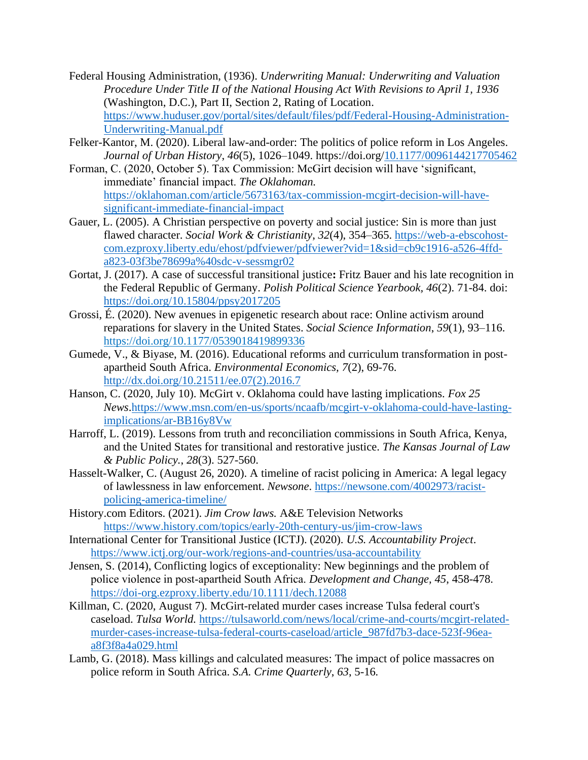- Federal Housing Administration, (1936). *Underwriting Manual: Underwriting and Valuation Procedure Under Title II of the National Housing Act With Revisions to April 1, 1936* (Washington, D.C.), Part II, Section 2, Rating of Location. [https://www.huduser.gov/portal/sites/default/files/pdf/Federal-Housing-Administration-](https://www.huduser.gov/portal/sites/default/files/pdf/Federal-Housing-Administration-Underwriting-Manual.pdf)[Underwriting-Manual.pdf](https://www.huduser.gov/portal/sites/default/files/pdf/Federal-Housing-Administration-Underwriting-Manual.pdf)
- Felker-Kantor, M. (2020). Liberal law-and-order: The politics of police reform in Los Angeles. *Journal of Urban History*, *46*(5), 1026–1049. https://doi.org[/10.1177/0096144217705462](https://doi-org.ezproxy.liberty.edu/10.1177/0096144217705462)
- Forman, C. (2020, October 5). Tax Commission: McGirt decision will have 'significant, immediate' financial impact. *The Oklahoman.*  [https://oklahoman.com/article/5673163/tax-commission-mcgirt-decision-will-have](https://oklahoman.com/article/5673163/tax-commission-mcgirt-decision-will-have-significant-immediate-financial-impact)[significant-immediate-financial-impact](https://oklahoman.com/article/5673163/tax-commission-mcgirt-decision-will-have-significant-immediate-financial-impact)
- Gauer, L. (2005). A Christian perspective on poverty and social justice: Sin is more than just flawed character. *Social Work & Christianity*, *32*(4), 354–365. [https://web-a-ebscohost](https://web-a-ebscohost-com.ezproxy.liberty.edu/ehost/pdfviewer/pdfviewer?vid=1&sid=cb9c1916-a526-4ffd-a823-03f3be78699a%40sdc-v-sessmgr02)[com.ezproxy.liberty.edu/ehost/pdfviewer/pdfviewer?vid=1&sid=cb9c1916-a526-4ffd](https://web-a-ebscohost-com.ezproxy.liberty.edu/ehost/pdfviewer/pdfviewer?vid=1&sid=cb9c1916-a526-4ffd-a823-03f3be78699a%40sdc-v-sessmgr02)[a823-03f3be78699a%40sdc-v-sessmgr02](https://web-a-ebscohost-com.ezproxy.liberty.edu/ehost/pdfviewer/pdfviewer?vid=1&sid=cb9c1916-a526-4ffd-a823-03f3be78699a%40sdc-v-sessmgr02)
- Gortat, J. (2017). A case of successful transitional justice**:** Fritz Bauer and his late recognition in the Federal Republic of Germany. *Polish Political Science Yearbook, 46*(2). 71-84. doi: <https://doi.org/10.15804/ppsy2017205>
- Grossi, É. (2020). New avenues in epigenetic research about race: Online activism around reparations for slavery in the United States. *Social Science Information*, *59*(1), 93–116. <https://doi.org/10.1177/0539018419899336>
- Gumede, V., & Biyase, M. (2016). Educational reforms and curriculum transformation in postapartheid South Africa. *Environmental Economics, 7*(2), 69-76. [http://dx.doi.org/10.21511/ee.07\(2\).2016.7](http://dx.doi.org/10.21511/ee.07(2).2016.7)
- Hanson, C. (2020, July 10). McGirt v. Oklahoma could have lasting implications. *Fox 25 News*[.https://www.msn.com/en-us/sports/ncaafb/mcgirt-v-oklahoma-could-have-lasting](https://www.msn.com/en-us/sports/ncaafb/mcgirt-v-oklahoma-could-have-lasting-implications/ar-BB16y8Vw)[implications/ar-BB16y8Vw](https://www.msn.com/en-us/sports/ncaafb/mcgirt-v-oklahoma-could-have-lasting-implications/ar-BB16y8Vw)
- Harroff, L. (2019). Lessons from truth and reconciliation commissions in South Africa, Kenya, and the United States for transitional and restorative justice. *The Kansas Journal of Law & Public Policy.*, *28*(3). 527-560.
- Hasselt-Walker, C. (August 26, 2020). A timeline of racist policing in America: A legal legacy of lawlessness in law enforcement. *Newsone*. [https://newsone.com/4002973/racist](https://newsone.com/4002973/racist-policing-america-timeline/)[policing-america-timeline/](https://newsone.com/4002973/racist-policing-america-timeline/)
- History.com Editors. (2021). *Jim Crow laws.* A&E Television Networks <https://www.history.com/topics/early-20th-century-us/jim-crow-laws>
- International Center for Transitional Justice (ICTJ). (2020). *U.S. Accountability Project*. <https://www.ictj.org/our-work/regions-and-countries/usa-accountability>
- Jensen, S. (2014), Conflicting logics of exceptionality: New beginnings and the problem of police violence in post‐apartheid South Africa. *Development and Change, 45*, 458-478. <https://doi-org.ezproxy.liberty.edu/10.1111/dech.12088>
- Killman, C. (2020, August 7). McGirt-related murder cases increase Tulsa federal court's caseload. *Tulsa World.* [https://tulsaworld.com/news/local/crime-and-courts/mcgirt-related](https://tulsaworld.com/news/local/crime-and-courts/mcgirt-related-murder-cases-increase-tulsa-federal-courts-caseload/article_987fd7b3-dace-523f-96ea-a8f3f8a4a029.html)[murder-cases-increase-tulsa-federal-courts-caseload/article\\_987fd7b3-dace-523f-96ea](https://tulsaworld.com/news/local/crime-and-courts/mcgirt-related-murder-cases-increase-tulsa-federal-courts-caseload/article_987fd7b3-dace-523f-96ea-a8f3f8a4a029.html)[a8f3f8a4a029.html](https://tulsaworld.com/news/local/crime-and-courts/mcgirt-related-murder-cases-increase-tulsa-federal-courts-caseload/article_987fd7b3-dace-523f-96ea-a8f3f8a4a029.html)
- Lamb, G. (2018). Mass killings and calculated measures: The impact of police massacres on police reform in South Africa. *S.A. Crime Quarterly*, *63*, 5-16*.*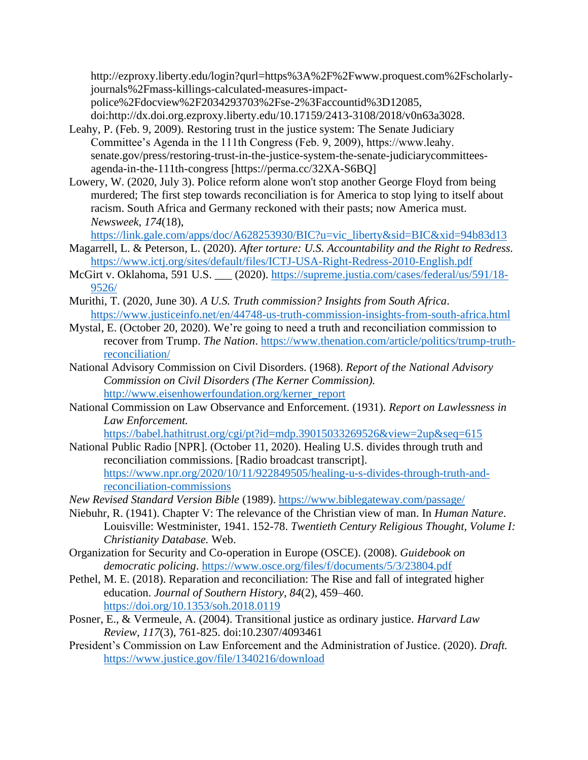http://ezproxy.liberty.edu/login?qurl=https%3A%2F%2Fwww.proquest.com%2Fscholarlyjournals%2Fmass-killings-calculated-measures-impactpolice%2Fdocview%2F2034293703%2Fse-2%3Faccountid%3D12085,

doi:http://dx.doi.org.ezproxy.liberty.edu/10.17159/2413-3108/2018/v0n63a3028.

- Leahy, P. (Feb. 9, 2009). Restoring trust in the justice system: The Senate Judiciary Committee's Agenda in the 111th Congress (Feb. 9, 2009), https://www.leahy. senate.gov/press/restoring-trust-in-the-justice-system-the-senate-judiciarycommitteesagenda-in-the-111th-congress [https://perma.cc/32XA-S6BQ]
- Lowery, W. (2020, July 3). Police reform alone won't stop another George Floyd from being murdered; The first step towards reconciliation is for America to stop lying to itself about racism. South Africa and Germany reckoned with their pasts; now America must. *Newsweek*, *174*(18),

[https://link.gale.com/apps/doc/A628253930/BIC?u=vic\\_liberty&sid=BIC&xid=94b83d13](https://link.gale.com/apps/doc/A628253930/BIC?u=vic_liberty&sid=BIC&xid=94b83d13)

- Magarrell, L. & Peterson, L. (2020). *After torture: U.S. Accountability and the Right to Redress.*  <https://www.ictj.org/sites/default/files/ICTJ-USA-Right-Redress-2010-English.pdf>
- McGirt v. Oklahoma, 591 U.S. (2020). [https://supreme.justia.com/cases/federal/us/591/18-](https://supreme.justia.com/cases/federal/us/591/18-9526/) [9526/](https://supreme.justia.com/cases/federal/us/591/18-9526/)
- Murithi, T. (2020, June 30). *A U.S. Truth commission? Insights from South Africa*. <https://www.justiceinfo.net/en/44748-us-truth-commission-insights-from-south-africa.html>
- Mystal, E. (October 20, 2020). We're going to need a truth and reconciliation commission to recover from Trump. *The Nation*. [https://www.thenation.com/article/politics/trump-truth](https://www.thenation.com/article/politics/trump-truth-reconciliation/)[reconciliation/](https://www.thenation.com/article/politics/trump-truth-reconciliation/)
- National Advisory Commission on Civil Disorders. (1968). *Report of the National Advisory Commission on Civil Disorders (The Kerner Commission).* [http://www.eisenhowerfoundation.org/kerner\\_report](http://www.eisenhowerfoundation.org/kerner_report)
- National Commission on Law Observance and Enforcement. (1931). *Report on Lawlessness in Law Enforcement.*

<https://babel.hathitrust.org/cgi/pt?id=mdp.39015033269526&view=2up&seq=615>

- National Public Radio [NPR]. (October 11, 2020). Healing U.S. divides through truth and reconciliation commissions. [Radio broadcast transcript]. [https://www.npr.org/2020/10/11/922849505/healing-u-s-divides-through-truth-and](https://www.npr.org/2020/10/11/922849505/healing-u-s-divides-through-truth-and-reconciliation-commissions)[reconciliation-commissions](https://www.npr.org/2020/10/11/922849505/healing-u-s-divides-through-truth-and-reconciliation-commissions)
- *New Revised Standard Version Bible* (1989).<https://www.biblegateway.com/passage/>
- Niebuhr, R. (1941). Chapter V: The relevance of the Christian view of man. In *Human Nature*. Louisville: Westminister, 1941. 152-78. *Twentieth Century Religious Thought, Volume I: Christianity Database.* Web.
- Organization for Security and Co-operation in Europe (OSCE). (2008). *Guidebook on democratic policing*.<https://www.osce.org/files/f/documents/5/3/23804.pdf>
- Pethel, M. E. (2018). Reparation and reconciliation: The Rise and fall of integrated higher education. *Journal of Southern History*, *84*(2), 459–460. <https://doi.org/10.1353/soh.2018.0119>
- Posner, E., & Vermeule, A. (2004). Transitional justice as ordinary justice. *Harvard Law Review, 117*(3), 761-825. doi:10.2307/4093461
- President's Commission on Law Enforcement and the Administration of Justice. (2020). *Draft.* <https://www.justice.gov/file/1340216/download>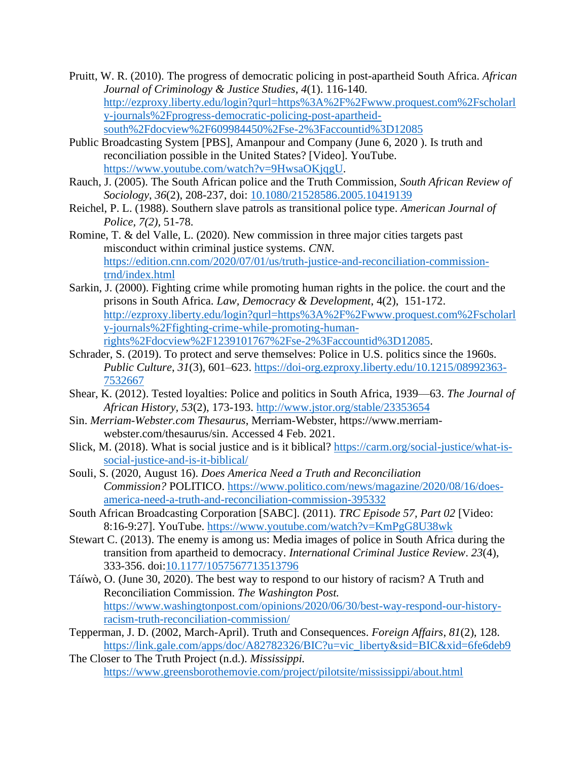- Pruitt, W. R. (2010). The progress of democratic policing in post-apartheid South Africa. *African Journal of Criminology & Justice Studies*, *4*(1). 116-140. [http://ezproxy.liberty.edu/login?qurl=https%3A%2F%2Fwww.proquest.com%2Fscholarl](http://ezproxy.liberty.edu/login?qurl=https%3A%2F%2Fwww.proquest.com%2Fscholarly-journals%2Fprogress-democratic-policing-post-apartheid-south%2Fdocview%2F609984450%2Fse-2%3Faccountid%3D12085) [y-journals%2Fprogress-democratic-policing-post-apartheid](http://ezproxy.liberty.edu/login?qurl=https%3A%2F%2Fwww.proquest.com%2Fscholarly-journals%2Fprogress-democratic-policing-post-apartheid-south%2Fdocview%2F609984450%2Fse-2%3Faccountid%3D12085)[south%2Fdocview%2F609984450%2Fse-2%3Faccountid%3D12085](http://ezproxy.liberty.edu/login?qurl=https%3A%2F%2Fwww.proquest.com%2Fscholarly-journals%2Fprogress-democratic-policing-post-apartheid-south%2Fdocview%2F609984450%2Fse-2%3Faccountid%3D12085)
- Public Broadcasting System [PBS], Amanpour and Company (June 6, 2020 ). Is truth and reconciliation possible in the United States? [Video]. YouTube. [https://www.youtube.com/watch?v=9HwsaOKjqgU.](https://www.youtube.com/watch?v=9HwsaOKjqgU)
- Rauch, J. (2005). The South African police and the Truth Commission, *South African Review of Sociology*, *36*(2), 208-237, doi: [10.1080/21528586.2005.10419139](https://doi-org.ezproxy.liberty.edu/10.1080/21528586.2005.10419139)
- Reichel, P. L. (1988). Southern slave patrols as transitional police type. *American Journal of Police, 7(2),* 51-78.
- Romine, T. & del Valle, L. (2020). New commission in three major cities targets past misconduct within criminal justice systems. *CNN*. [https://edition.cnn.com/2020/07/01/us/truth-justice-and-reconciliation-commission](https://edition.cnn.com/2020/07/01/us/truth-justice-and-reconciliation-commission-trnd/index.html)[trnd/index.html](https://edition.cnn.com/2020/07/01/us/truth-justice-and-reconciliation-commission-trnd/index.html)
- Sarkin, J. (2000). Fighting crime while promoting human rights in the police. the court and the prisons in South Africa. *Law, Democracy & Development*, 4(2), 151-172. [http://ezproxy.liberty.edu/login?qurl=https%3A%2F%2Fwww.proquest.com%2Fscholarl](http://ezproxy.liberty.edu/login?qurl=https%3A%2F%2Fwww.proquest.com%2Fscholarly-journals%2Ffighting-crime-while-promoting-human-rights%2Fdocview%2F1239101767%2Fse-2%3Faccountid%3D12085) [y-journals%2Ffighting-crime-while-promoting-human](http://ezproxy.liberty.edu/login?qurl=https%3A%2F%2Fwww.proquest.com%2Fscholarly-journals%2Ffighting-crime-while-promoting-human-rights%2Fdocview%2F1239101767%2Fse-2%3Faccountid%3D12085)[rights%2Fdocview%2F1239101767%2Fse-2%3Faccountid%3D12085.](http://ezproxy.liberty.edu/login?qurl=https%3A%2F%2Fwww.proquest.com%2Fscholarly-journals%2Ffighting-crime-while-promoting-human-rights%2Fdocview%2F1239101767%2Fse-2%3Faccountid%3D12085)
- Schrader, S. (2019). To protect and serve themselves: Police in U.S. politics since the 1960s. *Public Culture*, *31*(3), 601–623. [https://doi-org.ezproxy.liberty.edu/10.1215/08992363-](https://doi-org.ezproxy.liberty.edu/10.1215/08992363-7532667) [7532667](https://doi-org.ezproxy.liberty.edu/10.1215/08992363-7532667)
- Shear, K. (2012). Tested loyalties: Police and politics in South Africa, 1939—63. *The Journal of African History, 53*(2), 173-193. <http://www.jstor.org/stable/23353654>
- Sin. *Merriam-Webster.com Thesaurus*, Merriam-Webster, https://www.merriamwebster.com/thesaurus/sin. Accessed 4 Feb. 2021.
- Slick, M. (2018). What is social justice and is it biblical? [https://carm.org/social-justice/what-is](https://carm.org/social-justice/what-is-social-justice-and-is-it-biblical/)[social-justice-and-is-it-biblical/](https://carm.org/social-justice/what-is-social-justice-and-is-it-biblical/)
- Souli, S. (2020, August 16). *Does America Need a Truth and Reconciliation Commission?* POLITICO. [https://www.politico.com/news/magazine/2020/08/16/does](https://www.politico.com/news/magazine/2020/08/16/does-america-need-a-truth-and-reconciliation-commission-395332)[america-need-a-truth-and-reconciliation-commission-395332](https://www.politico.com/news/magazine/2020/08/16/does-america-need-a-truth-and-reconciliation-commission-395332)
- South African Broadcasting Corporation [SABC]. (2011). *TRC Episode 57, Part 02* [Video: 8:16-9:27]. YouTube.<https://www.youtube.com/watch?v=KmPgG8U38wk>
- Stewart C. (2013). The enemy is among us: Media images of police in South Africa during the transition from apartheid to democracy. *International Criminal Justice Review*. *23*(4), 333-356. doi[:10.1177/1057567713513796](https://doi-org.ezproxy.liberty.edu/10.1177/1057567713513796)
- Táíwò, O. (June 30, 2020). The best way to respond to our history of racism? A Truth and Reconciliation Commission. *The Washington Post.* [https://www.washingtonpost.com/opinions/2020/06/30/best-way-respond-our-history](https://www.washingtonpost.com/opinions/2020/06/30/best-way-respond-our-history-racism-truth-reconciliation-commission/)[racism-truth-reconciliation-commission/](https://www.washingtonpost.com/opinions/2020/06/30/best-way-respond-our-history-racism-truth-reconciliation-commission/)
- Tepperman, J. D. (2002, March-April). Truth and Consequences. *Foreign Affairs*, *81*(2), 128. [https://link.gale.com/apps/doc/A82782326/BIC?u=vic\\_liberty&sid=BIC&xid=6fe6deb9](https://link.gale.com/apps/doc/A82782326/BIC?u=vic_liberty&sid=BIC&xid=6fe6deb9)
- The Closer to The Truth Project (n.d.). *Mississippi.*  <https://www.greensborothemovie.com/project/pilotsite/mississippi/about.html>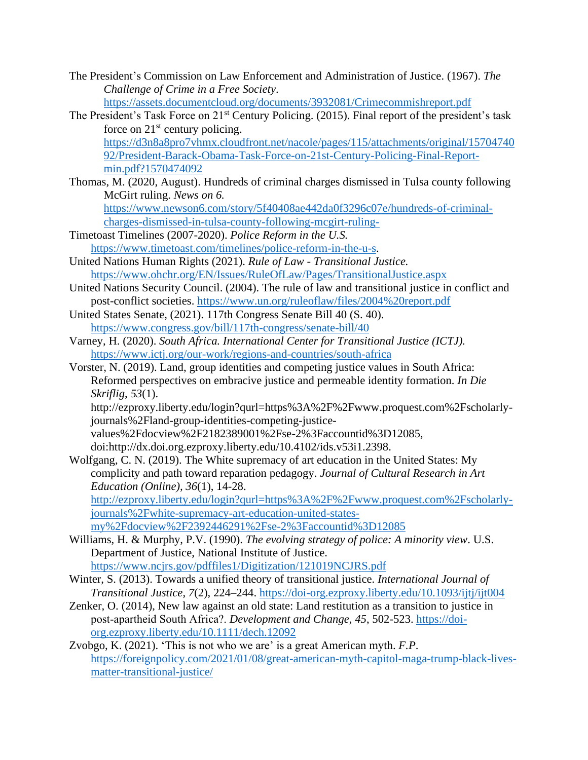- The President's Commission on Law Enforcement and Administration of Justice. (1967). *The Challenge of Crime in a Free Society*. <https://assets.documentcloud.org/documents/3932081/Crimecommishreport.pdf>
- The President's Task Force on 21<sup>st</sup> Century Policing. (2015). Final report of the president's task force on  $21<sup>st</sup>$  century policing. [https://d3n8a8pro7vhmx.cloudfront.net/nacole/pages/115/attachments/original/15704740](https://d3n8a8pro7vhmx.cloudfront.net/nacole/pages/115/attachments/original/1570474092/President-Barack-Obama-Task-Force-on-21st-Century-Policing-Final-Report-min.pdf?1570474092) [92/President-Barack-Obama-Task-Force-on-21st-Century-Policing-Final-Report](https://d3n8a8pro7vhmx.cloudfront.net/nacole/pages/115/attachments/original/1570474092/President-Barack-Obama-Task-Force-on-21st-Century-Policing-Final-Report-min.pdf?1570474092)[min.pdf?1570474092](https://d3n8a8pro7vhmx.cloudfront.net/nacole/pages/115/attachments/original/1570474092/President-Barack-Obama-Task-Force-on-21st-Century-Policing-Final-Report-min.pdf?1570474092)
- Thomas, M. (2020, August). Hundreds of criminal charges dismissed in Tulsa county following McGirt ruling. *News on 6.*  [https://www.newson6.com/story/5f40408ae442da0f3296c07e/hundreds-of-criminal](https://www.newson6.com/story/5f40408ae442da0f3296c07e/hundreds-of-criminal-charges-dismissed-in-tulsa-county-following-mcgirt-ruling-)[charges-dismissed-in-tulsa-county-following-mcgirt-ruling-](https://www.newson6.com/story/5f40408ae442da0f3296c07e/hundreds-of-criminal-charges-dismissed-in-tulsa-county-following-mcgirt-ruling-)
- Timetoast Timelines (2007-2020). *Police Reform in the U.S.*  [https://www.timetoast.com/timelines/police-reform-in-the-u-s.](https://www.timetoast.com/timelines/police-reform-in-the-u-s)
- United Nations Human Rights (2021). *Rule of Law - Transitional Justice.* <https://www.ohchr.org/EN/Issues/RuleOfLaw/Pages/TransitionalJustice.aspx>
- United Nations Security Council. (2004). The rule of law and transitional justice in conflict and post-conflict societies.<https://www.un.org/ruleoflaw/files/2004%20report.pdf>
- United States Senate, (2021). 117th Congress Senate Bill 40 (S. 40). <https://www.congress.gov/bill/117th-congress/senate-bill/40>
- Varney, H. (2020). *South Africa. International Center for Transitional Justice (ICTJ).*  <https://www.ictj.org/our-work/regions-and-countries/south-africa>
- Vorster, N. (2019). Land, group identities and competing justice values in South Africa: Reformed perspectives on embracive justice and permeable identity formation. *In Die Skriflig*, *53*(1).

http://ezproxy.liberty.edu/login?qurl=https%3A%2F%2Fwww.proquest.com%2Fscholarlyjournals%2Fland-group-identities-competing-justice-

values%2Fdocview%2F2182389001%2Fse-2%3Faccountid%3D12085, doi:http://dx.doi.org.ezproxy.liberty.edu/10.4102/ids.v53i1.2398.

Wolfgang, C. N. (2019). The White supremacy of art education in the United States: My complicity and path toward reparation pedagogy. *Journal of Cultural Research in Art Education (Online), 36*(1), 14-28.

[http://ezproxy.liberty.edu/login?qurl=https%3A%2F%2Fwww.proquest.com%2Fscholarly](http://ezproxy.liberty.edu/login?qurl=https%3A%2F%2Fwww.proquest.com%2Fscholarly-journals%2Fwhite-supremacy-art-education-united-states-my%2Fdocview%2F2392446291%2Fse-2%3Faccountid%3D12085)[journals%2Fwhite-supremacy-art-education-united-states](http://ezproxy.liberty.edu/login?qurl=https%3A%2F%2Fwww.proquest.com%2Fscholarly-journals%2Fwhite-supremacy-art-education-united-states-my%2Fdocview%2F2392446291%2Fse-2%3Faccountid%3D12085)[my%2Fdocview%2F2392446291%2Fse-2%3Faccountid%3D12085](http://ezproxy.liberty.edu/login?qurl=https%3A%2F%2Fwww.proquest.com%2Fscholarly-journals%2Fwhite-supremacy-art-education-united-states-my%2Fdocview%2F2392446291%2Fse-2%3Faccountid%3D12085)

- Williams, H. & Murphy, P.V. (1990). *The evolving strategy of police: A minority view*. U.S. Department of Justice, National Institute of Justice. <https://www.ncjrs.gov/pdffiles1/Digitization/121019NCJRS.pdf>
- Winter, S. (2013). Towards a unified theory of transitional justice. *International Journal of Transitional Justice*, *7*(2), 224–244.<https://doi-org.ezproxy.liberty.edu/10.1093/ijtj/ijt004>
- Zenker, O. (2014), New law against an old state: Land restitution as a transition to justice in post‐apartheid South Africa?. *Development and Change, 45*, 502-523. [https://doi](https://doi-org.ezproxy.liberty.edu/10.1111/dech.12092)[org.ezproxy.liberty.edu/10.1111/dech.12092](https://doi-org.ezproxy.liberty.edu/10.1111/dech.12092)
- Zvobgo, K. (2021). 'This is not who we are' is a great American myth. *F.P*. [https://foreignpolicy.com/2021/01/08/great-american-myth-capitol-maga-trump-black-lives](https://foreignpolicy.com/2021/01/08/great-american-myth-capitol-maga-trump-black-lives-matter-transitional-justice/)[matter-transitional-justice/](https://foreignpolicy.com/2021/01/08/great-american-myth-capitol-maga-trump-black-lives-matter-transitional-justice/)